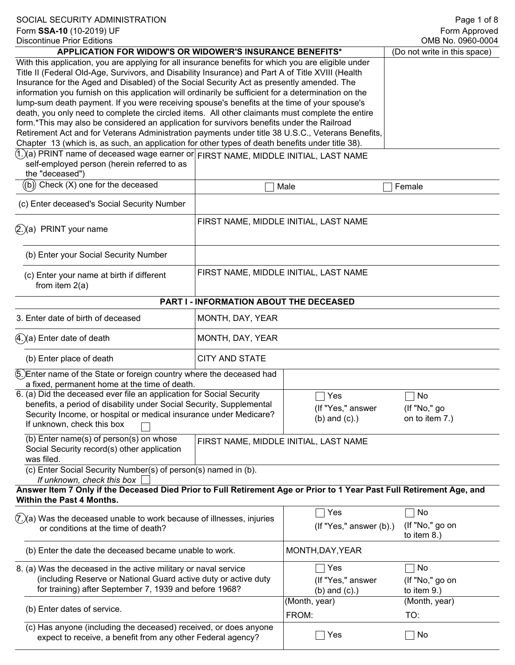| SOCIAL SECURITY ADMINISTRATION<br>Form SSA-10 (10-2019) UF<br><b>Discontinue Prior Editions</b>                                                                                                                                                                                                                                                                                                                                                                                                                                                                                                                                                                                                                                                                                                                                                                                                                          |                                         |                                                | Page 1 of 8<br>Form Approved<br>OMB No. 0960-0004 |
|--------------------------------------------------------------------------------------------------------------------------------------------------------------------------------------------------------------------------------------------------------------------------------------------------------------------------------------------------------------------------------------------------------------------------------------------------------------------------------------------------------------------------------------------------------------------------------------------------------------------------------------------------------------------------------------------------------------------------------------------------------------------------------------------------------------------------------------------------------------------------------------------------------------------------|-----------------------------------------|------------------------------------------------|---------------------------------------------------|
| APPLICATION FOR WIDOW'S OR WIDOWER'S INSURANCE BENEFITS*                                                                                                                                                                                                                                                                                                                                                                                                                                                                                                                                                                                                                                                                                                                                                                                                                                                                 | (Do not write in this space)            |                                                |                                                   |
| With this application, you are applying for all insurance benefits for which you are eligible under<br>Title II (Federal Old-Age, Survivors, and Disability Insurance) and Part A of Title XVIII (Health<br>Insurance for the Aged and Disabled) of the Social Security Act as presently amended. The<br>information you furnish on this application will ordinarily be sufficient for a determination on the<br>lump-sum death payment. If you were receiving spouse's benefits at the time of your spouse's<br>death, you only need to complete the circled items. All other claimants must complete the entire<br>form.*This may also be considered an application for survivors benefits under the Railroad<br>Retirement Act and for Veterans Administration payments under title 38 U.S.C., Veterans Benefits,<br>Chapter 13 (which is, as such, an application for other types of death benefits under title 38). |                                         |                                                |                                                   |
| (1.)(a) PRINT name of deceased wage earner or FIRST NAME, MIDDLE INITIAL, LAST NAME<br>self-employed person (herein referred to as<br>the "deceased")                                                                                                                                                                                                                                                                                                                                                                                                                                                                                                                                                                                                                                                                                                                                                                    |                                         |                                                |                                                   |
| $(\!\!(\mathrm{b})\!)$ Check $(\mathrm{X})$ one for the deceased                                                                                                                                                                                                                                                                                                                                                                                                                                                                                                                                                                                                                                                                                                                                                                                                                                                         |                                         | Male                                           | Female                                            |
| (c) Enter deceased's Social Security Number                                                                                                                                                                                                                                                                                                                                                                                                                                                                                                                                                                                                                                                                                                                                                                                                                                                                              |                                         |                                                |                                                   |
| $(2.)$ (a) PRINT your name                                                                                                                                                                                                                                                                                                                                                                                                                                                                                                                                                                                                                                                                                                                                                                                                                                                                                               | FIRST NAME, MIDDLE INITIAL, LAST NAME   |                                                |                                                   |
| (b) Enter your Social Security Number                                                                                                                                                                                                                                                                                                                                                                                                                                                                                                                                                                                                                                                                                                                                                                                                                                                                                    |                                         |                                                |                                                   |
| (c) Enter your name at birth if different<br>from item $2(a)$                                                                                                                                                                                                                                                                                                                                                                                                                                                                                                                                                                                                                                                                                                                                                                                                                                                            | FIRST NAME, MIDDLE INITIAL, LAST NAME   |                                                |                                                   |
|                                                                                                                                                                                                                                                                                                                                                                                                                                                                                                                                                                                                                                                                                                                                                                                                                                                                                                                          | PART I - INFORMATION ABOUT THE DECEASED |                                                |                                                   |
| 3. Enter date of birth of deceased                                                                                                                                                                                                                                                                                                                                                                                                                                                                                                                                                                                                                                                                                                                                                                                                                                                                                       | MONTH, DAY, YEAR                        |                                                |                                                   |
| $(4.)(a)$ Enter date of death                                                                                                                                                                                                                                                                                                                                                                                                                                                                                                                                                                                                                                                                                                                                                                                                                                                                                            | MONTH, DAY, YEAR                        |                                                |                                                   |
| (b) Enter place of death                                                                                                                                                                                                                                                                                                                                                                                                                                                                                                                                                                                                                                                                                                                                                                                                                                                                                                 | <b>CITY AND STATE</b>                   |                                                |                                                   |
| 6. Enter name of the State or foreign country where the deceased had<br>a fixed, permanent home at the time of death.                                                                                                                                                                                                                                                                                                                                                                                                                                                                                                                                                                                                                                                                                                                                                                                                    |                                         |                                                |                                                   |
| 6. (a) Did the deceased ever file an application for Social Security<br>benefits, a period of disability under Social Security, Supplemental<br>Security Income, or hospital or medical insurance under Medicare?<br>If unknown, check this box                                                                                                                                                                                                                                                                                                                                                                                                                                                                                                                                                                                                                                                                          |                                         | Yes<br>(If "Yes," answer<br>$(b)$ and $(c)$ .) | No<br>(If "No," go<br>on to item 7.)              |
| (b) Enter name(s) of person(s) on whose<br>Social Security record(s) other application<br>was filed.                                                                                                                                                                                                                                                                                                                                                                                                                                                                                                                                                                                                                                                                                                                                                                                                                     |                                         | FIRST NAME, MIDDLE INITIAL, LAST NAME          |                                                   |
| (c) Enter Social Security Number(s) of person(s) named in (b).<br>If unknown, check this box                                                                                                                                                                                                                                                                                                                                                                                                                                                                                                                                                                                                                                                                                                                                                                                                                             |                                         |                                                |                                                   |
| Answer Item 7 Only if the Deceased Died Prior to Full Retirement Age or Prior to 1 Year Past Full Retirement Age, and<br>Within the Past 4 Months.                                                                                                                                                                                                                                                                                                                                                                                                                                                                                                                                                                                                                                                                                                                                                                       |                                         |                                                |                                                   |
| $(7.)(a)$ Was the deceased unable to work because of illnesses, injuries<br>or conditions at the time of death?                                                                                                                                                                                                                                                                                                                                                                                                                                                                                                                                                                                                                                                                                                                                                                                                          |                                         | Yes<br>$($ If "Yes," answer $($ b $).$         | No<br>(If "No," go on<br>to item 8.)              |
| (b) Enter the date the deceased became unable to work.                                                                                                                                                                                                                                                                                                                                                                                                                                                                                                                                                                                                                                                                                                                                                                                                                                                                   |                                         | MONTH, DAY, YEAR                               |                                                   |
| 8. (a) Was the deceased in the active military or naval service<br>(including Reserve or National Guard active duty or active duty<br>for training) after September 7, 1939 and before 1968?                                                                                                                                                                                                                                                                                                                                                                                                                                                                                                                                                                                                                                                                                                                             |                                         | Yes<br>(If "Yes," answer<br>$(b)$ and $(c)$ .) | No<br>(If "No," go on<br>to item 9.)              |
| (b) Enter dates of service.                                                                                                                                                                                                                                                                                                                                                                                                                                                                                                                                                                                                                                                                                                                                                                                                                                                                                              |                                         | (Month, year)<br>FROM:                         | (Month, year)<br>TO:                              |
| (c) Has anyone (including the deceased) received, or does anyone<br>expect to receive, a benefit from any other Federal agency?                                                                                                                                                                                                                                                                                                                                                                                                                                                                                                                                                                                                                                                                                                                                                                                          |                                         | Yes                                            | No                                                |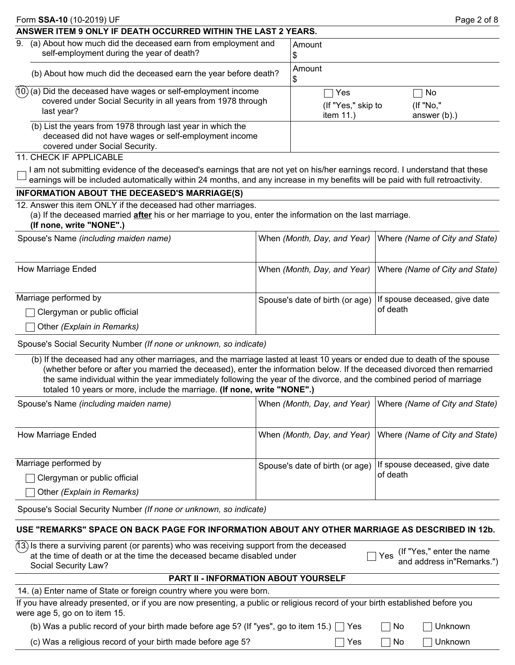| Form <b>SSA-10</b> (10-2019) UF                                                                                                                        |                                           | Page 2 of 8                           |
|--------------------------------------------------------------------------------------------------------------------------------------------------------|-------------------------------------------|---------------------------------------|
| ANSWER ITEM 9 ONLY IF DEATH OCCURRED WITHIN THE LAST 2 YEARS.                                                                                          |                                           |                                       |
| 9. (a) About how much did the deceased earn from employment and<br>self-employment during the year of death?                                           | Amount<br>Φ                               |                                       |
| (b) About how much did the deceased earn the year before death?                                                                                        | Amount<br>£.                              |                                       |
| $(10)(a)$ Did the deceased have wages or self-employment income<br>covered under Social Security in all years from 1978 through<br>last year?          | Yes<br>(If "Yes," skip to<br>item $11.$ ) | No<br>$($ If "No,"<br>answer $(b)$ .) |
| (b) List the years from 1978 through last year in which the<br>deceased did not have wages or self-employment income<br>covered under Social Security. |                                           |                                       |

#### 11. CHECK IF APPLICABLE

I am not submitting evidence of the deceased's earnings that are not yet on his/her earnings record. I understand that these earnings will be included automatically within 24 months, and any increase in my benefits will be paid with full retroactivity.

## **INFORMATION ABOUT THE DECEASED'S MARRIAGE(S)**

#### 12. Answer this item ONLY if the deceased had other marriages.

(a) If the deceased married **after** his or her marriage to you, enter the information on the last marriage.

#### **(If none, write "NONE".)**

| Spouse's Name (including maiden name) |                                                                 | When (Month, Day, and Year)   Where (Name of City and State) |
|---------------------------------------|-----------------------------------------------------------------|--------------------------------------------------------------|
| How Marriage Ended                    |                                                                 | When (Month, Day, and Year)   Where (Name of City and State) |
| Marriage performed by                 | Spouse's date of birth (or age)   If spouse deceased, give date |                                                              |
| Clergyman or public official          |                                                                 | of death                                                     |
| Other (Explain in Remarks)            |                                                                 |                                                              |

Spouse's Social Security Number *(If none or unknown, so indicate)* 

(b) If the deceased had any other marriages, and the marriage lasted at least 10 years or ended due to death of the spouse (whether before or after you married the deceased), enter the information below. If the deceased divorced then remarried the same individual within the year immediately following the year of the divorce, and the combined period of marriage totaled 10 years or more, include the marriage. **(If none, write "NONE".)**

| Spouse's Name (including maiden name)                             |                                                                 | When (Month, Day, and Year)   Where (Name of City and State) |
|-------------------------------------------------------------------|-----------------------------------------------------------------|--------------------------------------------------------------|
| How Marriage Ended                                                |                                                                 | When (Month, Day, and Year)   Where (Name of City and State) |
| Marriage performed by                                             | Spouse's date of birth (or age)   If spouse deceased, give date | of death                                                     |
| $\Box$ Clergyman or public official<br>Other (Explain in Remarks) |                                                                 |                                                              |

Spouse's Social Security Number *(If none or unknown, so indicate)* 

# **USE "REMARKS" SPACE ON BACK PAGE FOR INFORMATION ABOUT ANY OTHER MARRIAGE AS DESCRIBED IN 12b.**

| (13) Is there a surviving parent (or parents) who was receiving support from the deceased<br>at the time of death or at the time the deceased became disabled under<br>Social Security Law? | $\Box$ Yes (If "Yes," enter the name<br>$\degree$ and address in"Remarks.") |  |
|---------------------------------------------------------------------------------------------------------------------------------------------------------------------------------------------|-----------------------------------------------------------------------------|--|
|                                                                                                                                                                                             |                                                                             |  |

### **PART II - INFORMATION ABOUT YOURSELF**

 $\Box$  No  $\Box$  Unknown

■ Yes ■ No ■ Unknown

14. (a) Enter name of State or foreign country where you were born.

| If you have already presented, or if you are now presenting, a public or religious record of your birth established before you |  |  |  |
|--------------------------------------------------------------------------------------------------------------------------------|--|--|--|
| were age 5, go on to item 15.                                                                                                  |  |  |  |

(b) Was a public record of your birth made before age 5? (If "yes", go to item 15.)  $\Box$  Yes

(c) Was a religious record of your birth made before age 5?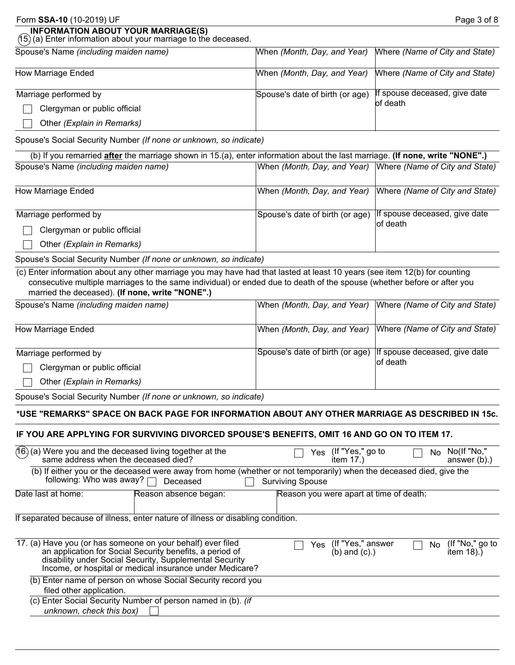| Form SSA-10 (10-2019) UF                                                                                     |                                 | Page 3 of 8                                                |
|--------------------------------------------------------------------------------------------------------------|---------------------------------|------------------------------------------------------------|
| <b>INFORMATION ABOUT YOUR MARRIAGE(S)</b><br>(15) (a) Enter information about your marriage to the deceased. |                                 |                                                            |
| Spouse's Name (including maiden name)                                                                        |                                 | When (Month, Day, and Year) Where (Name of City and State) |
| How Marriage Ended                                                                                           |                                 | When (Month, Day, and Year) Where (Name of City and State) |
| Marriage performed by<br>Clergyman or public official<br>Other (Explain in Remarks)                          | Spouse's date of birth (or age) | If spouse deceased, give date<br>lof death                 |

Spouse's Social Security Number *(If none or unknown, so indicate)* 

| (b) If you remarried after the marriage shown in 15.(a), enter information about the last marriage. (If none, write "NONE".) |                                                                                               |  |  |  |
|------------------------------------------------------------------------------------------------------------------------------|-----------------------------------------------------------------------------------------------|--|--|--|
|                                                                                                                              | When (Month, Day, and Year) Where (Name of City and State)                                    |  |  |  |
|                                                                                                                              |                                                                                               |  |  |  |
|                                                                                                                              |                                                                                               |  |  |  |
|                                                                                                                              |                                                                                               |  |  |  |
|                                                                                                                              | If spouse deceased, give date                                                                 |  |  |  |
|                                                                                                                              | lof death                                                                                     |  |  |  |
|                                                                                                                              |                                                                                               |  |  |  |
|                                                                                                                              | When (Month, Day, and Year) Where (Name of City and State)<br>Spouse's date of birth (or age) |  |  |  |

Spouse's Social Security Number *(If none or unknown, so indicate)* 

(c) Enter information about any other marriage you may have had that lasted at least 10 years (see item 12(b) for counting consecutive multiple marriages to the same individual) or ended due to death of the spouse (whether before or after you married the deceased). **(If none, write "NONE".)**

| Spouse's Name (including maiden name) |                                                               | When (Month, Day, and Year) Where (Name of City and State) |
|---------------------------------------|---------------------------------------------------------------|------------------------------------------------------------|
| How Marriage Ended                    | When (Month, Day, and Year)                                   | Where (Name of City and State)                             |
| Marriage performed by                 | Spouse's date of birth (or age) If spouse deceased, give date |                                                            |
| Clergyman or public official          |                                                               | lof death                                                  |
| Other (Explain in Remarks)            |                                                               |                                                            |

Spouse's Social Security Number *(If none or unknown, so indicate)* 

### **\*USE "REMARKS" SPACE ON BACK PAGE FOR INFORMATION ABOUT ANY OTHER MARRIAGE AS DESCRIBED IN 15c.**

#### **IF YOU ARE APPLYING FOR SURVIVING DIVORCED SPOUSE'S BENEFITS, OMIT 16 AND GO ON TO ITEM 17.**

| $\overline{16}$ (a) Were you and the deceased living together at the same address when the deceased died? |                                                                                                                                                                                 | Yes                     | (If "Yes," go to<br>item $17.$ )        | No l | No(If "No,"<br>answer $(b)$ .)  |
|-----------------------------------------------------------------------------------------------------------|---------------------------------------------------------------------------------------------------------------------------------------------------------------------------------|-------------------------|-----------------------------------------|------|---------------------------------|
| following: Who was away? $\Box$                                                                           | (b) If either you or the deceased were away from home (whether or not temporarily) when the deceased died, give the<br>Deceased                                                 | <b>Surviving Spouse</b> |                                         |      |                                 |
| Date last at home:                                                                                        | Reason absence began:                                                                                                                                                           |                         | Reason you were apart at time of death: |      |                                 |
|                                                                                                           | If separated because of illness, enter nature of illness or disabling condition.                                                                                                |                         |                                         |      |                                 |
| 17. (a) Have you (or has someone on your behalf) ever filed                                               | an application for Social Security benefits, a period of<br>disability under Social Security, Supplemental Security<br>Income, or hospital or medical insurance under Medicare? | Yes                     | (If "Yes," answer<br>$(b)$ and $(c)$ .) | No.  | (If "No," go to<br>item $18)$ . |
| filed other application.                                                                                  | (b) Enter name of person on whose Social Security record you                                                                                                                    |                         |                                         |      |                                 |
| unknown, check this box)                                                                                  | (c) Enter Social Security Number of person named in (b). (if                                                                                                                    |                         |                                         |      |                                 |
|                                                                                                           |                                                                                                                                                                                 |                         |                                         |      |                                 |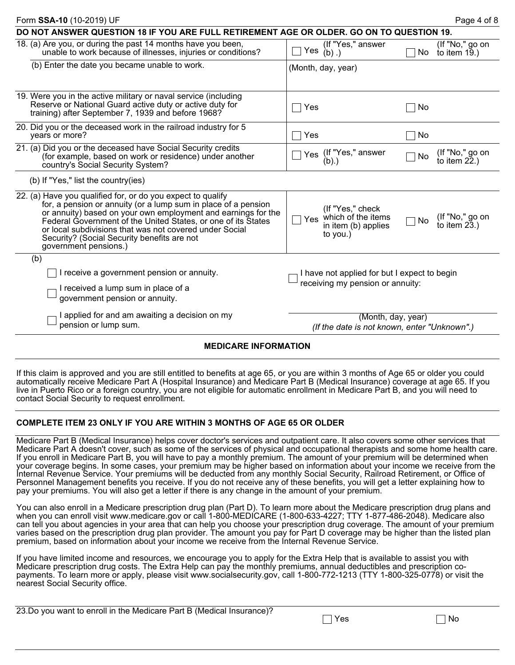| Form SSA-10 (10-2019) UF                                                                                                                                                                                                                                                                                                                                                                           |                                                                                  | Page 4 of 8                                     |
|----------------------------------------------------------------------------------------------------------------------------------------------------------------------------------------------------------------------------------------------------------------------------------------------------------------------------------------------------------------------------------------------------|----------------------------------------------------------------------------------|-------------------------------------------------|
| DO NOT ANSWER QUESTION 18 IF YOU ARE FULL RETIREMENT AGE OR OLDER. GO ON TO QUESTION 19.                                                                                                                                                                                                                                                                                                           |                                                                                  |                                                 |
| 18. (a) Are you, or during the past 14 months have you been,<br>unable to work because of illnesses, injuries or conditions?                                                                                                                                                                                                                                                                       | (If "Yes," answer<br>Yes<br>$(b)$ .)                                             | (If "No," go on<br>No<br>to item 19.)           |
| (b) Enter the date you became unable to work.                                                                                                                                                                                                                                                                                                                                                      | (Month, day, year)                                                               |                                                 |
| 19. Were you in the active military or naval service (including<br>Reserve or National Guard active duty or active duty for<br>training) after September 7, 1939 and before 1968?                                                                                                                                                                                                                  | Yes                                                                              | No                                              |
| 20. Did you or the deceased work in the railroad industry for 5<br>years or more?                                                                                                                                                                                                                                                                                                                  | Yes                                                                              | No                                              |
| 21. (a) Did you or the deceased have Social Security credits<br>(for example, based on work or residence) under another<br>country's Social Security System?                                                                                                                                                                                                                                       | (If "Yes," answer<br>Yes<br>(b).                                                 | (If "No," go on<br>No<br>to item $22$ .)        |
| (b) If "Yes," list the country(ies)                                                                                                                                                                                                                                                                                                                                                                |                                                                                  |                                                 |
| 22. (a) Have you qualified for, or do you expect to qualify<br>for, a pension or annuity (or a lump sum in place of a pension<br>or annuity) based on your own employment and earnings for the<br>Federal Government of the United States, or one of its States<br>or local subdivisions that was not covered under Social<br>Security? (Social Security benefits are not<br>government pensions.) | (If "Yes," check<br>Yes which of the items<br>in item (b) applies<br>to you.)    | (If "No," go on<br><b>No</b><br>to item $23.$ ) |
| (b)                                                                                                                                                                                                                                                                                                                                                                                                |                                                                                  |                                                 |
| receive a government pension or annuity.                                                                                                                                                                                                                                                                                                                                                           | I have not applied for but I expect to begin<br>receiving my pension or annuity: |                                                 |
| I received a lump sum in place of a<br>government pension or annuity.                                                                                                                                                                                                                                                                                                                              |                                                                                  |                                                 |
| I applied for and am awaiting a decision on my<br>pension or lump sum.                                                                                                                                                                                                                                                                                                                             | (Month, day, year)<br>(If the date is not known, enter "Unknown".)               |                                                 |
| <b>MEDICARE INFORMATION</b>                                                                                                                                                                                                                                                                                                                                                                        |                                                                                  |                                                 |

If this claim is approved and you are still entitled to benefits at age 65, or you are within 3 months of Age 65 or older you could automatically receive Medicare Part A (Hospital Insurance) and Medicare Part B (Medical Insurance) coverage at age 65. If you live in Puerto Rico or a foreign country, you are not eligible for automatic enrollment in Medicare Part B, and you will need to contact Social Security to request enrollment.

### **COMPLETE ITEM 23 ONLY IF YOU ARE WITHIN 3 MONTHS OF AGE 65 OR OLDER**

Medicare Part B (Medical Insurance) helps cover doctor's services and outpatient care. It also covers some other services that Medicare Part A doesn't cover, such as some of the services of physical and occupational therapists and some home health care. If you enroll in Medicare Part B, you will have to pay a monthly premium. The amount of your premium will be determined when your coverage begins. In some cases, your premium may be higher based on information about your income we receive from the Internal Revenue Service. Your premiums will be deducted from any monthly Social Security, Railroad Retirement, or Office of Personnel Management benefits you receive. If you do not receive any of these benefits, you will get a letter explaining how to pay your premiums. You will also get a letter if there is any change in the amount of your premium.

You can also enroll in a Medicare prescription drug plan (Part D). To learn more about the Medicare prescription drug plans and when you can enroll visit www.medicare.gov or call 1-800-MEDICARE (1-800-633-4227; TTY 1-877-486-2048). Medicare also can tell you about agencies in your area that can help you choose your prescription drug coverage. The amount of your premium varies based on the prescription drug plan provider. The amount you pay for Part D coverage may be higher than the listed plan premium, based on information about your income we receive from the Internal Revenue Service.

If you have limited income and resources, we encourage you to apply for the Extra Help that is available to assist you with Medicare prescription drug costs. The Extra Help can pay the monthly premiums, annual deductibles and prescription copayments. To learn more or apply, please visit www.socialsecurity.gov, call 1-800-772-1213 (TTY 1-800-325-0778) or visit the nearest Social Security office.

|  | 23.Do you want to enroll in the Medicare Part B (Medical Insurance)? |  |
|--|----------------------------------------------------------------------|--|
|  |                                                                      |  |

 $\Box$  No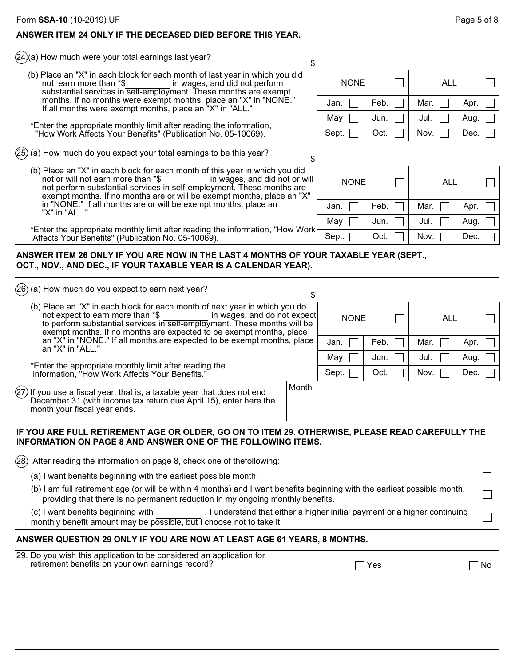# **ANSWER ITEM 24 ONLY IF THE DECEASED DIED BEFORE THIS YEAR.**

(24)(a) How much were your total earnings last year?

| (b) Place an "X" in each block for each month of last year in which you did |
|-----------------------------------------------------------------------------|
| in wages, and did not perform                                               |
| substantial services in self-employment. These months are exempt            |
| months. If no months were exempt months, place an "X" in "NONE."            |
|                                                                             |
|                                                                             |

- \*Enter the appropriate monthly limit after reading the information, "How Work Affects Your Benefits" (Publication No. 05-10069).
- $(25)$  (a) How much do you expect your total earnings to be this year?

| ÷ |             |      |      |      |
|---|-------------|------|------|------|
|   | <b>NONE</b> |      | ALL  |      |
|   | Jan.        | Feb. | Mar. | Apr. |
|   | May         | Jun. | Jul. | Aug. |
|   | Sept.       | Oct. | Nov. | Dec. |
|   |             |      |      |      |

Jan.  $\Box$  Feb.  $\Box$  Mar.  $\Box$  Apr.

May  $\Box$  Jun.  $\Box$  Jul.  $\Box$  Aug. Sept.  $\Box$  Oct.  $\Box$  Nov.  $\Box$  Dec.

NONE  $\Box$  ALL

(b) Place an "X" in each block for each month of this year in which you did<br>not or will not earn more than \*\$ in wages, and did not or will not or will not earn more than \*\$ not perform substantial services in self-employment. These months are exempt months. If no months are or will be exempt months, place an "X" in "NONE." If all months are or will be exempt months, place an "X" in "ALL."

 \*Enter the appropriate monthly limit after reading the information, "How Work Affects Your Benefits" (Publication No. 05-10069).

## **ANSWER ITEM 26 ONLY IF YOU ARE NOW IN THE LAST 4 MONTHS OF YOUR TAXABLE YEAR (SEPT., OCT., NOV., AND DEC., IF YOUR TAXABLE YEAR IS A CALENDAR YEAR).**

| $(26)$ (a) How much do you expect to earn next year?                                                                                                                                                                                                                                             | S     |             |      |      |      |
|--------------------------------------------------------------------------------------------------------------------------------------------------------------------------------------------------------------------------------------------------------------------------------------------------|-------|-------------|------|------|------|
| (b) Place an "X" in each block for each month of next year in which you do<br>in wages, and do not expect<br>not expect to earn more than *\$<br>to perform substantial services in self-employment. These months will be<br>exempt months. If no months are expected to be exempt months, place |       | <b>NONE</b> |      | ALL  |      |
| an "X" in "NONE." If all months are expected to be exempt months, place<br>an "X" in "ALL."                                                                                                                                                                                                      |       | Jan.        | Feb. | Mar. | Apr. |
|                                                                                                                                                                                                                                                                                                  |       | May         | Jun. | Jul. | Aug. |
| *Enter the appropriate monthly limit after reading the information, "How Work Affects Your Benefits."                                                                                                                                                                                            |       | Sept.       | Oct. | Nov. | Dec. |
| $\left( \hspace{-0.5mm}27\right)$ If you use a fiscal year, that is, a taxable year that does not end<br>December 31 (with income tax return due April 15), enter here the<br>month your fiscal year ends.                                                                                       | Month |             |      |      |      |

# **IF YOU ARE FULL RETIREMENT AGE OR OLDER, GO ON TO ITEM 29. OTHERWISE, PLEASE READ CAREFULLY THE INFORMATION ON PAGE 8 AND ANSWER ONE OF THE FOLLOWING ITEMS.**

|                                                                                                                                                                                                             | $(28)$ After reading the information on page 8, check one of thefollowing:                                                                                                               |     |  |  |  |  |  |  |
|-------------------------------------------------------------------------------------------------------------------------------------------------------------------------------------------------------------|------------------------------------------------------------------------------------------------------------------------------------------------------------------------------------------|-----|--|--|--|--|--|--|
|                                                                                                                                                                                                             | (a) I want benefits beginning with the earliest possible month.                                                                                                                          |     |  |  |  |  |  |  |
| (b) I am full retirement age (or will be within 4 months) and I want benefits beginning with the earliest possible month,<br>providing that there is no permanent reduction in my ongoing monthly benefits. |                                                                                                                                                                                          |     |  |  |  |  |  |  |
|                                                                                                                                                                                                             | (c) I want benefits beginning with<br>. I understand that either a higher initial payment or a higher continuing<br>monthly benefit amount may be possible, but I choose not to take it. |     |  |  |  |  |  |  |
| ANSWER QUESTION 29 ONLY IF YOU ARE NOW AT LEAST AGE 61 YEARS, 8 MONTHS.                                                                                                                                     |                                                                                                                                                                                          |     |  |  |  |  |  |  |
|                                                                                                                                                                                                             | 29. Do you wish this application to be considered an application for<br>retirement benefits on your own earnings record?<br>Yes                                                          | .No |  |  |  |  |  |  |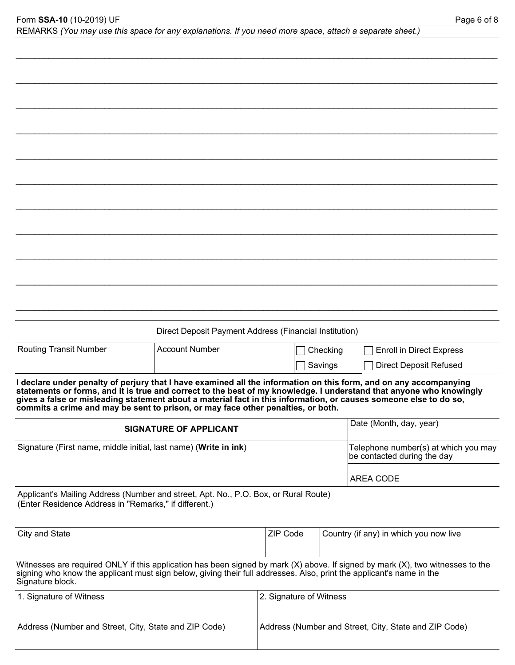| REMARKS (You may use this space for any explanations. If you need more space, attach a separate sheet.) |  |  |  |  |  |  |  |  |  |
|---------------------------------------------------------------------------------------------------------|--|--|--|--|--|--|--|--|--|
|---------------------------------------------------------------------------------------------------------|--|--|--|--|--|--|--|--|--|

*\_\_\_\_\_\_\_\_\_\_\_\_\_\_\_\_\_\_\_\_\_\_\_\_\_\_\_\_\_\_\_\_\_\_\_\_\_\_\_\_\_\_\_\_\_\_\_\_\_\_\_\_\_\_\_\_\_\_\_\_\_\_\_\_\_\_\_\_\_\_\_\_\_\_\_\_\_\_\_\_\_\_\_\_\_\_\_\_\_\_\_\_\_\_\_\_\_\_\_\_\_\_\_*

|                                                                                                                                                                                                                                                                                                                                                                                                                                                   | Direct Deposit Payment Address (Financial Institution) |                                          |          |                                                                                                                                |  |  |  |  |
|---------------------------------------------------------------------------------------------------------------------------------------------------------------------------------------------------------------------------------------------------------------------------------------------------------------------------------------------------------------------------------------------------------------------------------------------------|--------------------------------------------------------|------------------------------------------|----------|--------------------------------------------------------------------------------------------------------------------------------|--|--|--|--|
| <b>Routing Transit Number</b>                                                                                                                                                                                                                                                                                                                                                                                                                     | <b>Account Number</b>                                  |                                          | Checking | <b>Enroll in Direct Express</b>                                                                                                |  |  |  |  |
|                                                                                                                                                                                                                                                                                                                                                                                                                                                   |                                                        | <b>Direct Deposit Refused</b><br>Savings |          |                                                                                                                                |  |  |  |  |
| I declare under penalty of perjury that I have examined all the information on this form, and on any accompanying<br>statements or forms, and it is true and correct to the best of my knowledge. I understand that anyone who knowingly<br>gives a false or misleading statement about a material fact in this information, or causes someone else to do so,<br>commits a crime and may be sent to prison, or may face other penalties, or both. |                                                        |                                          |          |                                                                                                                                |  |  |  |  |
|                                                                                                                                                                                                                                                                                                                                                                                                                                                   | <b>SIGNATURE OF APPLICANT</b>                          |                                          |          | Date (Month, day, year)                                                                                                        |  |  |  |  |
| Signature (First name, middle initial, last name) (Write in ink)                                                                                                                                                                                                                                                                                                                                                                                  |                                                        |                                          |          | Telephone number(s) at which you may<br>be contacted during the day                                                            |  |  |  |  |
|                                                                                                                                                                                                                                                                                                                                                                                                                                                   |                                                        |                                          |          | <b>AREA CODE</b>                                                                                                               |  |  |  |  |
| Applicant's Mailing Address (Number and street, Apt. No., P.O. Box, or Rural Route)<br>(Enter Residence Address in "Remarks," if different.)                                                                                                                                                                                                                                                                                                      |                                                        |                                          |          |                                                                                                                                |  |  |  |  |
| City and State                                                                                                                                                                                                                                                                                                                                                                                                                                    |                                                        | ZIP Code                                 |          | Country (if any) in which you now live                                                                                         |  |  |  |  |
| signing who know the applicant must sign below, giving their full addresses. Also, print the applicant's name in the<br>Signature block.                                                                                                                                                                                                                                                                                                          |                                                        |                                          |          | Witnesses are required ONLY if this application has been signed by mark (X) above. If signed by mark (X), two witnesses to the |  |  |  |  |
| 1. Signature of Witness                                                                                                                                                                                                                                                                                                                                                                                                                           |                                                        | 2. Signature of Witness                  |          |                                                                                                                                |  |  |  |  |

Address (Number and Street, City, State and ZIP Code) Address (Number and Street, City, State and ZIP Code)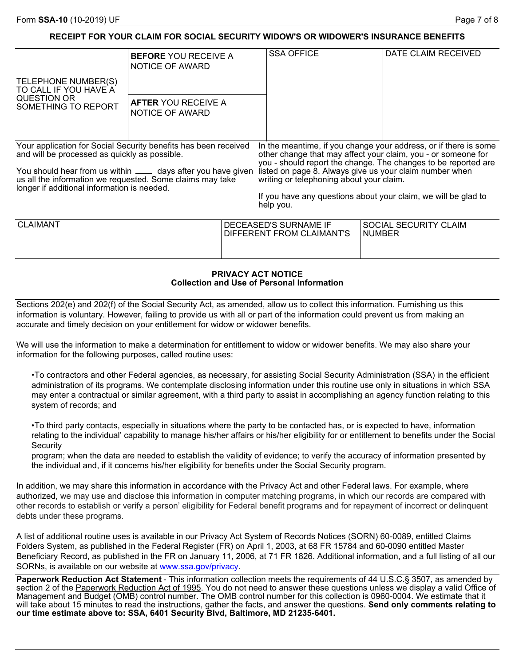# **RECEIPT FOR YOUR CLAIM FOR SOCIAL SECURITY WIDOW'S OR WIDOWER'S INSURANCE BENEFITS**

|                                                                                                                                                                                                                                                                                               | <b>BEFORE YOU RECEIVE A</b><br>NOTICE OF AWARD |                                                                     | <b>SSA OFFICE</b>                                                                                                                                                                                                                                   |                       | DATE CLAIM RECEIVED                                                                                                                |
|-----------------------------------------------------------------------------------------------------------------------------------------------------------------------------------------------------------------------------------------------------------------------------------------------|------------------------------------------------|---------------------------------------------------------------------|-----------------------------------------------------------------------------------------------------------------------------------------------------------------------------------------------------------------------------------------------------|-----------------------|------------------------------------------------------------------------------------------------------------------------------------|
| TELEPHONE NUMBER(S)<br>TO CALL IF YOU HAVE A<br><b>QUESTION OR</b><br>SOMETHING TO REPORT                                                                                                                                                                                                     | <b>AFTER YOU RECEIVE A</b><br>NOTICE OF AWARD  |                                                                     |                                                                                                                                                                                                                                                     |                       |                                                                                                                                    |
| Your application for Social Security benefits has been received<br>and will be processed as quickly as possible.<br>You should hear from us within ____ days after you have given<br>us all the information we requested. Some claims may take<br>longer if additional information is needed. |                                                |                                                                     | other change that may affect your claim, you - or someone for<br>listed on page 8. Always give us your claim number when<br>writing or telephoning about your claim.<br>If you have any questions about your claim, we will be glad to<br>help you. |                       | In the meantime, if you change your address, or if there is some<br>you - should report the change. The changes to be reported are |
| <b>CLAIMANT</b>                                                                                                                                                                                                                                                                               |                                                | DECEASED'S SURNAME IF<br>DIFFERENT FROM CLAIMANT'S<br><b>NUMBER</b> |                                                                                                                                                                                                                                                     | SOCIAL SECURITY CLAIM |                                                                                                                                    |

#### **PRIVACY ACT NOTICE Collection and Use of Personal Information**

Sections 202(e) and 202(f) of the Social Security Act, as amended, allow us to collect this information. Furnishing us this information is voluntary. However, failing to provide us with all or part of the information could prevent us from making an accurate and timely decision on your entitlement for widow or widower benefits.

We will use the information to make a determination for entitlement to widow or widower benefits. We may also share your information for the following purposes, called routine uses:

•To contractors and other Federal agencies, as necessary, for assisting Social Security Administration (SSA) in the efficient administration of its programs. We contemplate disclosing information under this routine use only in situations in which SSA may enter a contractual or similar agreement, with a third party to assist in accomplishing an agency function relating to this system of records; and

•To third party contacts, especially in situations where the party to be contacted has, or is expected to have, information relating to the individual' capability to manage his/her affairs or his/her eligibility for or entitlement to benefits under the Social **Security** 

program; when the data are needed to establish the validity of evidence; to verify the accuracy of information presented by the individual and, if it concerns his/her eligibility for benefits under the Social Security program.

In addition, we may share this information in accordance with the Privacy Act and other Federal laws. For example, where authorized, we may use and disclose this information in computer matching programs, in which our records are compared with other records to establish or verify a person' eligibility for Federal benefit programs and for repayment of incorrect or delinquent debts under these programs.

A list of additional routine uses is available in our Privacy Act System of Records Notices (SORN) 60-0089, entitled Claims Folders System, as published in the Federal Register (FR) on April 1, 2003, at 68 FR 15784 and 60-0090 entitled Master Beneficiary Record, as published in the FR on January 11, 2006, at 71 FR 1826. Additional information, and a full listing of all our SORNs, is available on our website at www.ssa.gov/privacy.

Paperwork Reduction Act Statement - This information collection meets the requirements of 44 U.S.C.§ 3507, as amended by section 2 of the Paperwork Reduction Act of 1995. You do not need to answer these questions unless we display a valid Office of Management and Budget (OMB) control number. The OMB control number for this collection is 0960-0004. We estimate that it will take about 15 minutes to read the instructions, gather the facts, and answer the questions. **Send only comments relating to our time estimate above to: SSA, 6401 Security Blvd, Baltimore, MD 21235-6401.**